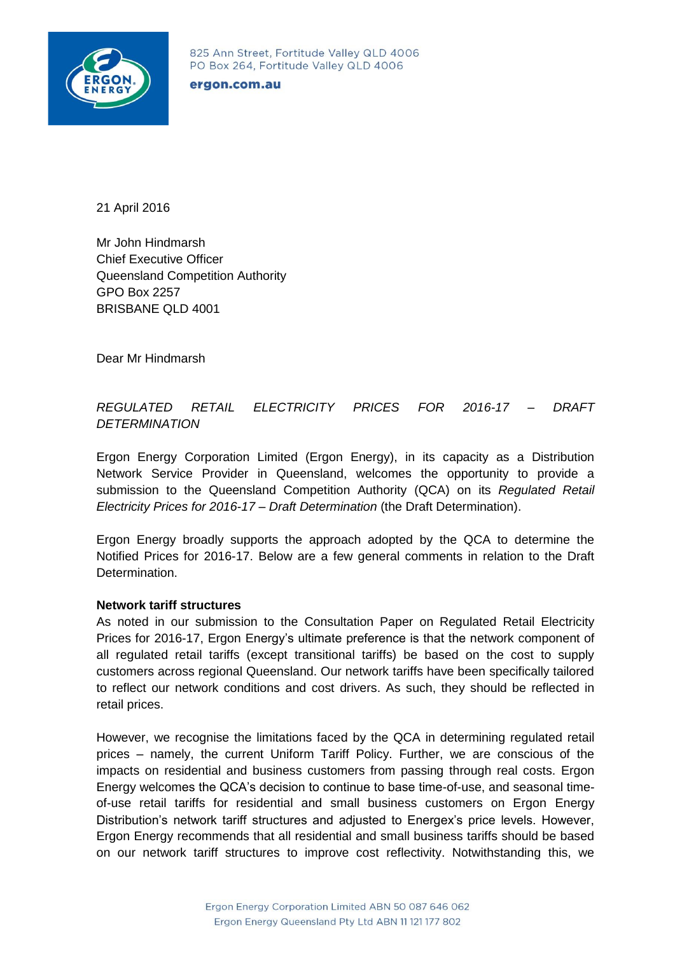

#### ergon.com.au

21 April 2016

Mr John Hindmarsh Chief Executive Officer Queensland Competition Authority GPO Box 2257 BRISBANE QLD 4001

Dear Mr Hindmarsh

# *REGULATED RETAIL ELECTRICITY PRICES FOR 2016-17 – DRAFT DETERMINATION*

Ergon Energy Corporation Limited (Ergon Energy), in its capacity as a Distribution Network Service Provider in Queensland, welcomes the opportunity to provide a submission to the Queensland Competition Authority (QCA) on its *Regulated Retail Electricity Prices for 2016-17 – Draft Determination* (the Draft Determination).

Ergon Energy broadly supports the approach adopted by the QCA to determine the Notified Prices for 2016-17. Below are a few general comments in relation to the Draft Determination.

#### **Network tariff structures**

As noted in our submission to the Consultation Paper on Regulated Retail Electricity Prices for 2016-17, Ergon Energy's ultimate preference is that the network component of all regulated retail tariffs (except transitional tariffs) be based on the cost to supply customers across regional Queensland. Our network tariffs have been specifically tailored to reflect our network conditions and cost drivers. As such, they should be reflected in retail prices.

However, we recognise the limitations faced by the QCA in determining regulated retail prices – namely, the current Uniform Tariff Policy. Further, we are conscious of the impacts on residential and business customers from passing through real costs. Ergon Energy welcomes the QCA's decision to continue to base time-of-use, and seasonal timeof-use retail tariffs for residential and small business customers on Ergon Energy Distribution's network tariff structures and adjusted to Energex's price levels. However, Ergon Energy recommends that all residential and small business tariffs should be based on our network tariff structures to improve cost reflectivity. Notwithstanding this, we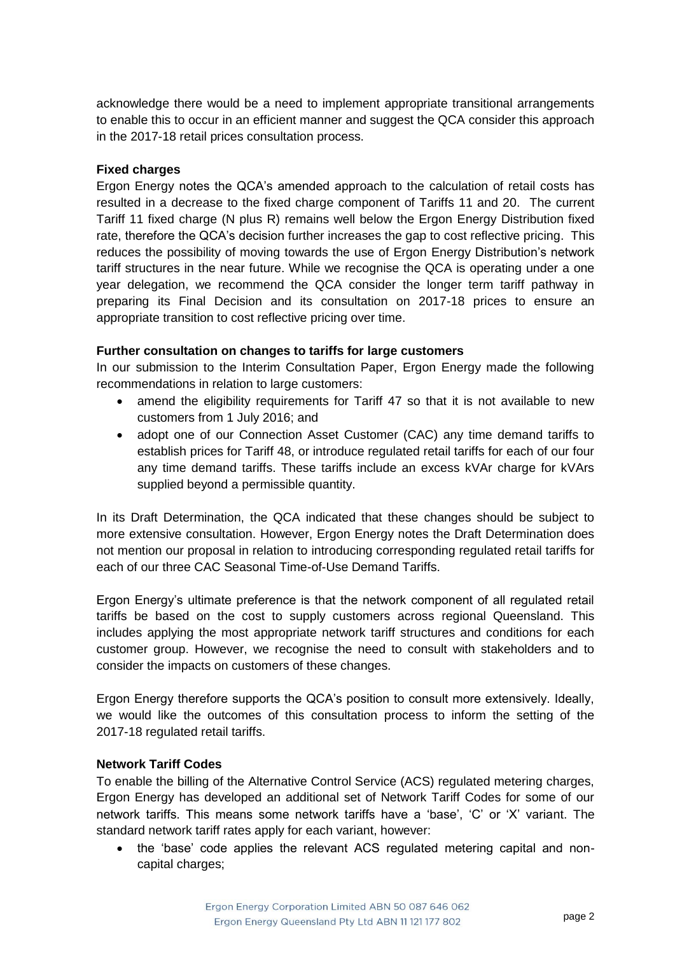acknowledge there would be a need to implement appropriate transitional arrangements to enable this to occur in an efficient manner and suggest the QCA consider this approach in the 2017-18 retail prices consultation process.

## **Fixed charges**

Ergon Energy notes the QCA's amended approach to the calculation of retail costs has resulted in a decrease to the fixed charge component of Tariffs 11 and 20. The current Tariff 11 fixed charge (N plus R) remains well below the Ergon Energy Distribution fixed rate, therefore the QCA's decision further increases the gap to cost reflective pricing. This reduces the possibility of moving towards the use of Ergon Energy Distribution's network tariff structures in the near future. While we recognise the QCA is operating under a one year delegation, we recommend the QCA consider the longer term tariff pathway in preparing its Final Decision and its consultation on 2017-18 prices to ensure an appropriate transition to cost reflective pricing over time.

## **Further consultation on changes to tariffs for large customers**

In our submission to the Interim Consultation Paper, Ergon Energy made the following recommendations in relation to large customers:

- amend the eligibility requirements for Tariff 47 so that it is not available to new customers from 1 July 2016; and
- adopt one of our Connection Asset Customer (CAC) any time demand tariffs to establish prices for Tariff 48, or introduce regulated retail tariffs for each of our four any time demand tariffs. These tariffs include an excess kVAr charge for kVArs supplied beyond a permissible quantity.

In its Draft Determination, the QCA indicated that these changes should be subject to more extensive consultation. However, Ergon Energy notes the Draft Determination does not mention our proposal in relation to introducing corresponding regulated retail tariffs for each of our three CAC Seasonal Time-of-Use Demand Tariffs.

Ergon Energy's ultimate preference is that the network component of all regulated retail tariffs be based on the cost to supply customers across regional Queensland. This includes applying the most appropriate network tariff structures and conditions for each customer group. However, we recognise the need to consult with stakeholders and to consider the impacts on customers of these changes.

Ergon Energy therefore supports the QCA's position to consult more extensively. Ideally, we would like the outcomes of this consultation process to inform the setting of the 2017-18 regulated retail tariffs.

### **Network Tariff Codes**

To enable the billing of the Alternative Control Service (ACS) regulated metering charges, Ergon Energy has developed an additional set of Network Tariff Codes for some of our network tariffs. This means some network tariffs have a 'base', 'C' or 'X' variant. The standard network tariff rates apply for each variant, however:

• the 'base' code applies the relevant ACS regulated metering capital and noncapital charges;